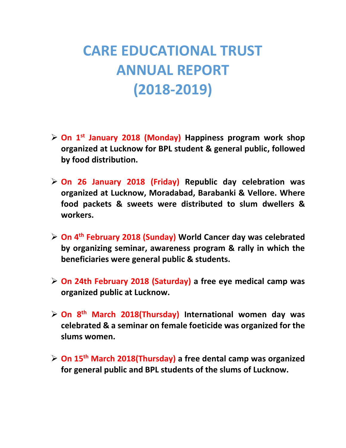## **CARE EDUCATIONAL TRUST ANNUAL REPORT (2018-2019)**

- **On 1st January 2018 (Monday) Happiness program work shop organized at Lucknow for BPL student & general public, followed by food distribution.**
- **On 26 January 2018 (Friday) Republic day celebration was organized at Lucknow, Moradabad, Barabanki & Vellore. Where food packets & sweets were distributed to slum dwellers & workers.**
- **On 4th February 2018 (Sunday) World Cancer day was celebrated by organizing seminar, awareness program & rally in which the beneficiaries were general public & students.**
- **On 24th February 2018 (Saturday) a free eye medical camp was organized public at Lucknow.**
- **On 8th March 2018(Thursday) International women day was celebrated & a seminar on female foeticide was organized for the slums women.**
- **On 15th March 2018(Thursday) a free dental camp was organized for general public and BPL students of the slums of Lucknow.**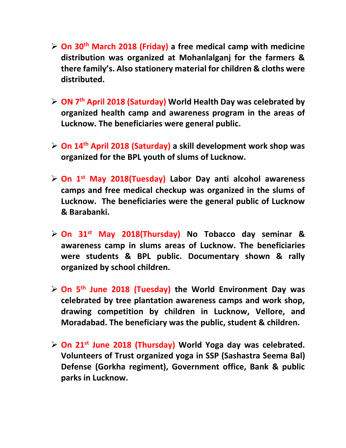- **On 30th March 2018 (Friday) a free medical camp with medicine distribution was organized at Mohanlalganj for the farmers & there family's. Also stationery material for children & cloths were distributed.**
- **ON 7th April 2018 (Saturday) World Health Day was celebrated by organized health camp and awareness program in the areas of Lucknow. The beneficiaries were general public.**
- **On 14th April 2018 (Saturday) a skill development work shop was organized for the BPL youth of slums of Lucknow.**
- **On 1st May 2018(Tuesday) Labor Day anti alcohol awareness camps and free medical checkup was organized in the slums of Lucknow. The beneficiaries were the general public of Lucknow & Barabanki.**
- **On 31st May 2018(Thursday) No Tobacco day seminar & awareness camp in slums areas of Lucknow. The beneficiaries were students & BPL public. Documentary shown & rally organized by school children.**
- **On 5th June 2018 (Tuesday) the World Environment Day was celebrated by tree plantation awareness camps and work shop, drawing competition by children in Lucknow, Vellore, and Moradabad. The beneficiary was the public, student & children.**
- **On 21 st June 2018 (Thursday) World Yoga day was celebrated. Volunteers of Trust organized yoga in SSP (Sashastra Seema Bal) Defense (Gorkha regiment), Government office, Bank & public parks in Lucknow.**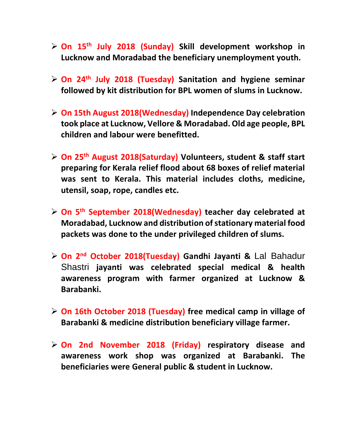- **On 15th July 2018 (Sunday) Skill development workshop in Lucknow and Moradabad the beneficiary unemployment youth.**
- **On 24th July 2018 (Tuesday) Sanitation and hygiene seminar followed by kit distribution for BPL women of slums in Lucknow.**
- **On 15th August 2018(Wednesday) Independence Day celebration took place at Lucknow, Vellore & Moradabad. Old age people, BPL children and labour were benefitted.**
- **On 25th August 2018(Saturday) Volunteers, student & staff start preparing for Kerala relief flood about 68 boxes of relief material was sent to Kerala. This material includes cloths, medicine, utensil, soap, rope, candles etc.**
- **On 5th September 2018(Wednesday) teacher day celebrated at Moradabad, Lucknow and distribution of stationary material food packets was done to the under privileged children of slums.**
- **On 2nd October 2018(Tuesday) Gandhi Jayanti &** Lal Bahadur Shastri **jayanti was celebrated special medical & health awareness program with farmer organized at Lucknow & Barabanki.**
- **On 16th October 2018 (Tuesday) free medical camp in village of Barabanki & medicine distribution beneficiary village farmer.**
- **On 2nd November 2018 (Friday) respiratory disease and awareness work shop was organized at Barabanki. The beneficiaries were General public & student in Lucknow.**